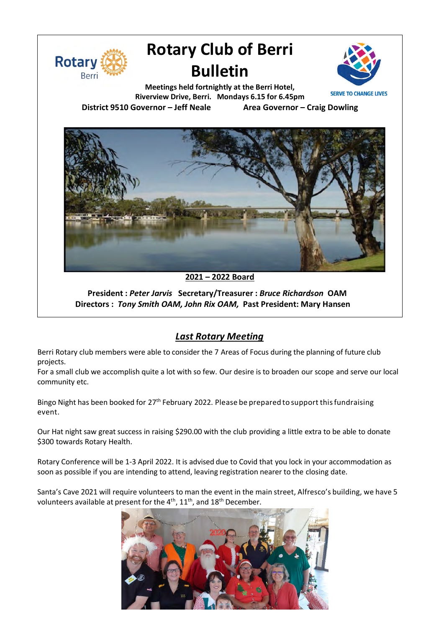

# **Rotary Club of Berri Bulletin**



**Meetings held fortnightly at the Berri Hotel, Riverview Drive, Berri. Mondays 6.15 for 6.45pm District 9510 Governor – Jeff Neale Area Governor – Craig Dowling**



**2021 – 2022 Board**

**President :** *Peter Jarvis* **Secretary/Treasurer :** *Bruce Richardson* **OAM**  **Directors :** *Tony Smith OAM, John Rix OAM,* **Past President: Mary Hansen**

## *Last Rotary Meeting*

Berri Rotary club members were able to consider the 7 Areas of Focus during the planning of future club projects.

For a small club we accomplish quite a lot with so few. Our desire is to broaden our scope and serve our local community etc.

Bingo Night has been booked for 27<sup>th</sup> February 2022. Please be prepared to support this fundraising event.

Our Hat night saw great success in raising \$290.00 with the club providing a little extra to be able to donate \$300 towards Rotary Health.

Rotary Conference will be 1-3 April 2022. It is advised due to Covid that you lock in your accommodation as soon as possible if you are intending to attend, leaving registration nearer to the closing date.

Santa's Cave 2021 will require volunteers to man the event in the main street, Alfresco's building, we have 5 volunteers available at present for the  $4^{\text{th}}$ ,  $11^{\text{th}}$ , and  $18^{\text{th}}$  December.